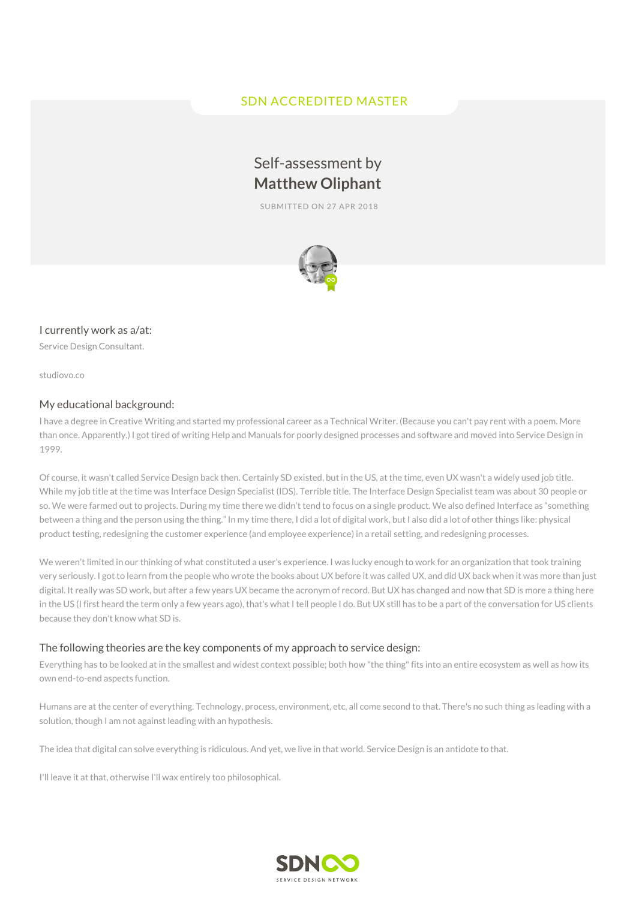# SDN ACCREDITED MASTER

# Self-assessment by **Matthew Oliphant**

SUBMITTED ON 27 APR 2018



### I currently work as a/at:

Service Design Consultant.

studiovo.co

### My educational background:

I have a degree in Creative Writing and started my professional career as a Technical Writer. (Because you can't pay rent with a poem. More than once. Apparently.) I got tired of writing Help and Manuals for poorly designed processes and software and moved into Service Design in 1999.

Of course, it wasn't called Service Design back then. Certainly SD existed, but in the US, at the time, even UX wasn't a widely used job title. While my job title at the time was Interface Design Specialist (IDS). Terrible title. The Interface Design Specialist team was about 30 people or so. We were farmed out to projects. During my time there we didn't tend to focus on a single product. We also defined Interface as "something between a thing and the person using the thing." In my time there, I did a lot of digital work, but I also did a lot of other things like: physical product testing, redesigning the customer experience (and employee experience) in a retail setting, and redesigning processes.

We weren't limited in our thinking of what constituted a user's experience. I was lucky enough to work for an organization that took training very seriously. I got to learn from the people who wrote the books about UX before it was called UX, and did UX back when it was more than just digital. It really was SD work, but after a few years UX became the acronym of record. But UX has changed and now that SD is more a thing here in the US (I first heard the term only a few years ago), that's what I tell people I do. But UX still has to be a part of the conversation for US clients because they don't know what SD is.

### The following theories are the key components of my approach to service design:

Everything has to be looked at in the smallest and widest context possible; both how "the thing"fits into an entire ecosystem as well as how its own end-to-end aspects function.

Humans are at the center of everything. Technology, process, environment, etc, all come second to that. There's no such thing as leading with a solution, though I am not against leading with an hypothesis.

The idea that digital can solve everything is ridiculous. And yet, we live in that world. Service Design is an antidote to that.

I'll leave it at that, otherwise I'll wax entirely too philosophical.

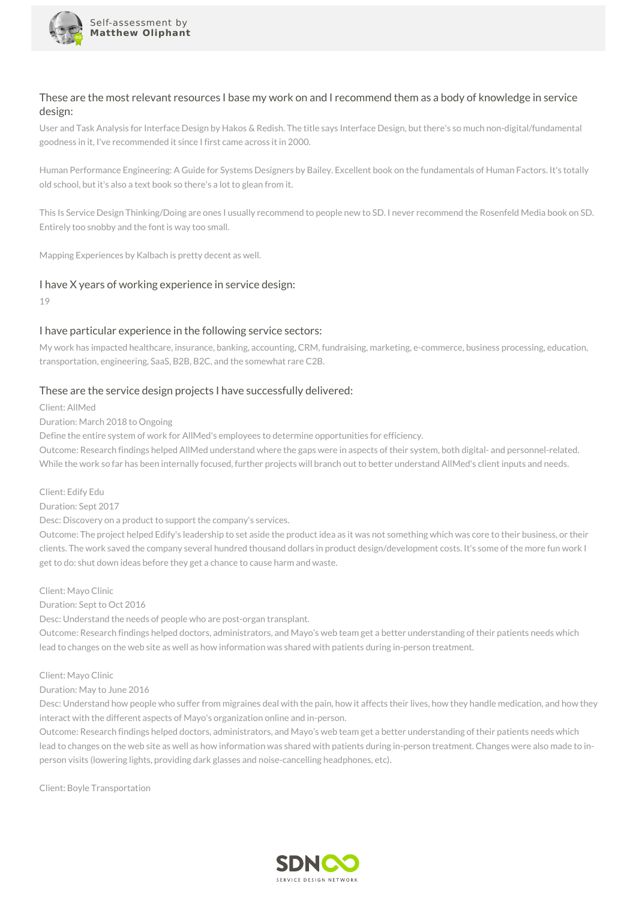

### These are the most relevant resources I base my work on and I recommend them as a body of knowledge in service design:

User and Task Analysis for Interface Design by Hakos & Redish. The title says Interface Design, but there's so much non-digital/fundamental goodness in it, I've recommended it since I first came across it in 2000.

Human Performance Engineering: A Guide for Systems Designers by Bailey. Excellent book on the fundamentals of Human Factors. It's totally old school, but it's also a text book so there's a lot to glean from it.

This Is Service Design Thinking/Doing are ones I usually recommend to people new to SD. I never recommend the Rosenfeld Media book on SD. Entirely too snobby and the font is way too small.

Mapping Experiences by Kalbach is pretty decent as well.

### I have X years of working experience in service design:

19

### I have particular experience in the following service sectors:

My work has impacted healthcare, insurance, banking, accounting, CRM, fundraising, marketing, e-commerce, business processing, education, transportation, engineering, SaaS, B2B, B2C, and the somewhat rare C2B.

#### These are the service design projects I have successfully delivered:

Client: AllMed

Duration: March 2018 to Ongoing

Define the entire system of work for AllMed's employees to determine opportunities for efficiency.

Outcome: Research findings helped AllMed understand where the gaps were in aspects of their system, both digital- and personnel-related. While the work so far has been internally focused, further projects will branch out to better understand AllMed's client inputs and needs.

Client: Edify Edu

Duration: Sept 2017

Desc: Discovery on a product to support the company's services.

Outcome: The project helped Edify's leadership to set aside the product idea as it was not something which was core to their business, or their clients. The work saved the company several hundred thousand dollars in product design/development costs. It's some of the more fun work I get to do: shut down ideas before they get a chance to cause harm and waste.

Client: Mayo Clinic

Duration: Sept to Oct 2016

Desc: Understand the needs of people who are post-organ transplant.

Outcome: Research findings helped doctors, administrators, and Mayo's web team get a better understanding of their patients needs which lead to changes on the web site as well as how information was shared with patients during in-person treatment.

Client: Mayo Clinic

#### Duration: May to June 2016

Desc: Understand how people who suffer from migraines deal with the pain, how it affects their lives, how they handle medication, and how they interact with the different aspects of Mayo's organization online and in-person.

Outcome: Research findings helped doctors, administrators, and Mayo's web team get a better understanding of their patients needs which lead to changes on the web site as well as how information was shared with patients during in-person treatment. Changes were also made to inperson visits (lowering lights, providing dark glasses and noise-cancelling headphones, etc).

Client: Boyle Transportation

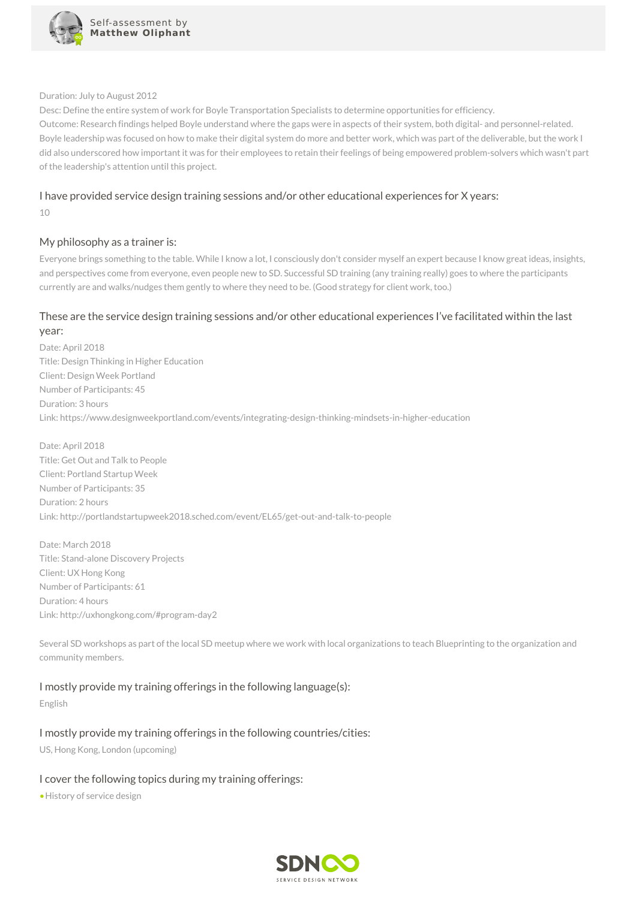

#### Duration: July to August 2012

Desc: Define the entire system of work for Boyle Transportation Specialists to determine opportunities for efficiency. Outcome: Research findings helped Boyle understand where the gaps were in aspects of their system, both digital- and personnel-related. Boyle leadership was focused on how to make their digital system do more and better work, which was part of the deliverable, but the work I did also underscored how important it was for their employees to retain their feelings of being empowered problem-solvers which wasn't part of the leadership's attention until this project.

### I have provided service design training sessions and/or other educational experiences for X years:

10

### My philosophy as a trainer is:

Everyone brings something to the table. While I know a lot, I consciously don't consider myself an expert because I know great ideas, insights, and perspectives come from everyone, even people new to SD. Successful SD training (any training really) goes to where the participants currently are and walks/nudges them gently to where they need to be. (Good strategy for client work, too.)

### These are the service design training sessions and/or other educational experiences I've facilitated within the last year:

Date: April 2018 Title: Design Thinking in Higher Education Client: Design Week Portland Number of Participants: 45 Duration: 3 hours Link: https://www.designweekportland.com/events/integrating-design-thinking-mindsets-in-higher-education

Date: April 2018 Title: Get Out and Talk to People Client: Portland Startup Week Number of Participants: 35 Duration: 2 hours Link: http://portlandstartupweek2018.sched.com/event/EL65/get-out-and-talk-to-people

Date: March 2018 Title: Stand-alone Discovery Projects Client: UX Hong Kong Number of Participants: 61 Duration: 4 hours Link: http://uxhongkong.com/#program-day2

Several SD workshops as part of the local SD meetup where we work with local organizations to teach Blueprinting to the organization and community members.

I mostly provide my training offerings in the following language(s):

English

# I mostly provide my training offerings in the following countries/cities:

US, Hong Kong, London (upcoming)

# I cover the following topics during my training offerings:

•History of service design

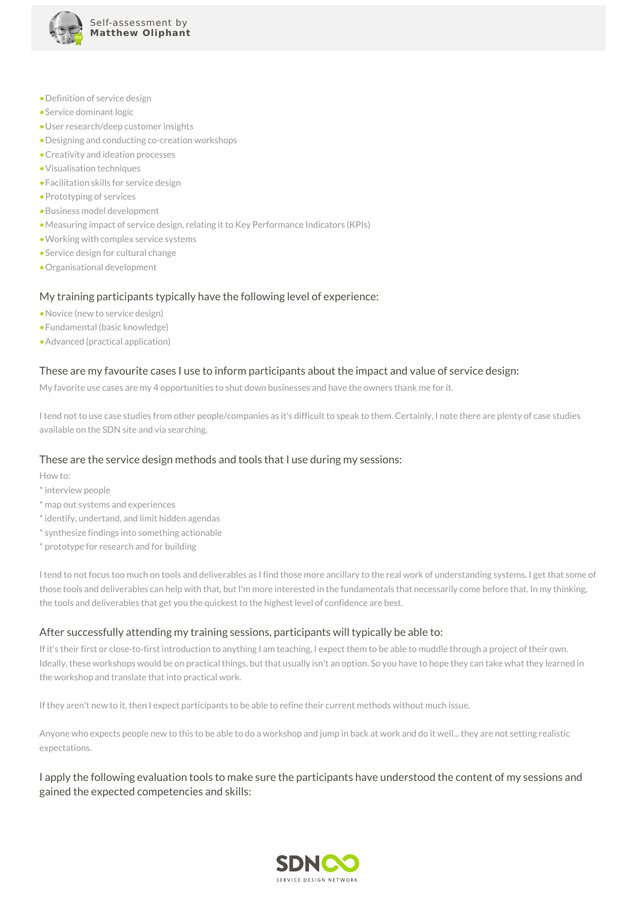

- •Definition of service design
- •Service dominant logic
- •User research/deep customer insights
- •Designing and conducting co-creation workshops
- •Creativity and ideation processes
- •Visualisation techniques
- •Facilitation skills for service design
- •Prototyping of services
- •Business model development
- •Measuring impact of service design, relating it to Key Performance Indicators (KPIs)
- •Working with complex service systems
- •Service design for cultural change
- •Organisational development

#### My training participants typically have the following level of experience:

- •Novice (new to service design)
- •Fundamental (basic knowledge)
- •Advanced (practical application)

#### These are my favourite cases I use to inform participants about the impact and value of service design:

My favorite use cases are my 4 opportunities to shut down businesses and have the owners thank me for it.

I tend not to use case studies from other people/companies as it's difficult to speak to them. Certainly, I note there are plenty of case studies available on the SDN site and via searching.

#### These are the service design methods and tools that I use during my sessions:

How to:

- \*interview people
- \* map out systems and experiences
- \*identify, undertand, and limit hidden agendas
- \* synthesize findings into something actionable
- \* prototype for research and for building

I tend to not focus too much on tools and deliverables as I find those more ancillary to the real work of understanding systems. I get that some of those tools and deliverables can help with that, but I'm more interested in the fundamentals that necessarily come before that. In my thinking, the tools and deliverables that get you the quickest to the highest level of confidence are best.

#### After successfully attending my training sessions, participants will typically be able to:

If it's their first or close-to-first introduction to anything I am teaching, I expect them to be able to muddle through a project of their own. Ideally, these workshops would be on practical things, but that usually isn't an option. So you have to hope they can take what they learned in the workshop and translate that into practical work.

If they aren't new to it, then I expect participants to be able to refine their current methods without much issue.

Anyone who expects people new to this to be able to do a workshop and jump in back at work and do it well... they are not setting realistic expectations.

### I apply the following evaluation tools to make sure the participants have understood the content of my sessions and gained the expected competencies and skills: